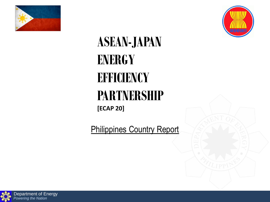



# **ASEAN-JAPAN ENERGY EFFICIENCY PARTNERSHIP [ECAP 20]**

Philippines Country Report

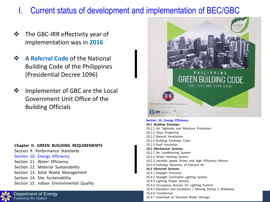## I. Current status of development and implementation of BEC/GBC

- ❖ The GBC-IRR effectivity year of implementation was in **2016**
- ❖ A **Referral Code** of the National Building Code of the Philippines (Presidential Decree 1096)
- ❖ Implementer of GBC are the Local Government Unit Office of the Building Officials

#### **Chapter II. GREEN BUILDING REQUIREMENTS**

- Section 9. Performance Standards
- Section 10. Energy Efficiency
- Section 11. Water Efficiency
- Section 12. Material Sustainability
- Section 13. Solid Waste Management
- Section 14. Site Sustainability
- Section 15. Indoor Environmental Quality



Department of Energy *Powering the Nation*



#### **Section 10. Energy Efficiency**

*10.1 Building Envelope*  10.1.1 Air Tightness and Moisture Protection 10.1.2 Glass Properties 10.1.3 Natural Ventilation 10.1.4 Building Envelope Color 10.1.5 Roof Insulation *10.2 Mechanical Systems*  10.2.1 Air Conditioning System 10.2.2 Water Heating System 10.2.3 Variable Speed Drives and High Efficiency Motors 10.2.4 Enthalpy Recovery of Exhaust Air *10.3 Electrical Systems*  10.3.1 Daylight Provision 10.3.2 Daylight Controlled Lighting System 10.3.3 Lighting Power Density 10.3.4 Occupancy Sensors for Lighting Control 10.3.5 Elevators and Escalators / Moving Ramps / Walkways 10.3.6 Transformer 10.3.7 Overhead or Elevated Water Storage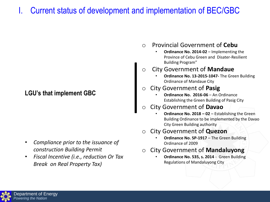## I. Current status of development and implementation of BEC/GBC

### **LGU's that implement GBC**

- *Compliance prior to the issuance of construction Building Permit*
- *Fiscal Incentive (i.e., reduction Or Tax Break on Real Property Tax)*
- o Provincial Government of **Cebu**
	- **Ordinance No. 2014-02**  Implementing the Province of Cebu Green and Disater-Resilient Building Program"

### **City Government of Mandaue**

• **Ordinance No. 13-2015-1047-** The Green Building Ordinance of Mandaue City

#### o City Government of **Pasig**

- **Ordinance No. 2016-06**  An Ordinance Establishing the Green Building of Pasig City
- o City Government of **Davao**
	- **Ordinance No. 2018 – 02**  Establishing the Green Building Ordinance to be implemented by the Davao City Green Building authority

#### o City Government of **Quezon**

- **Ordinance No. SP-1917**  The Green Building Ordinance of 2009
- o City Government of **Mandaluyong**
	- **Ordinance No. 535, s. 2014**  Green Building Regulations of Mandaluyong City

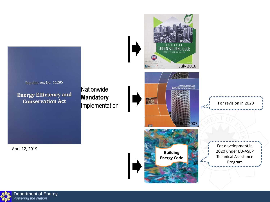

Department of Energy *Powering the Nation*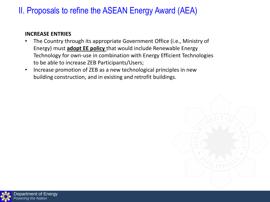## II. Proposals to refine the ASEAN Energy Award (AEA)

#### **INCREASE ENTRIES**

- The Country through its appropriate Government Office (i.e., Ministry of Energy) must **adopt EE policy** that would include Renewable Energy Technology for own-use in combination with Energy Efficient Technologies to be able to increase ZEB Participants/Users;
- Increase promotion of ZEB as a new technological principles in new building construction, and in existing and retrofit buildings.